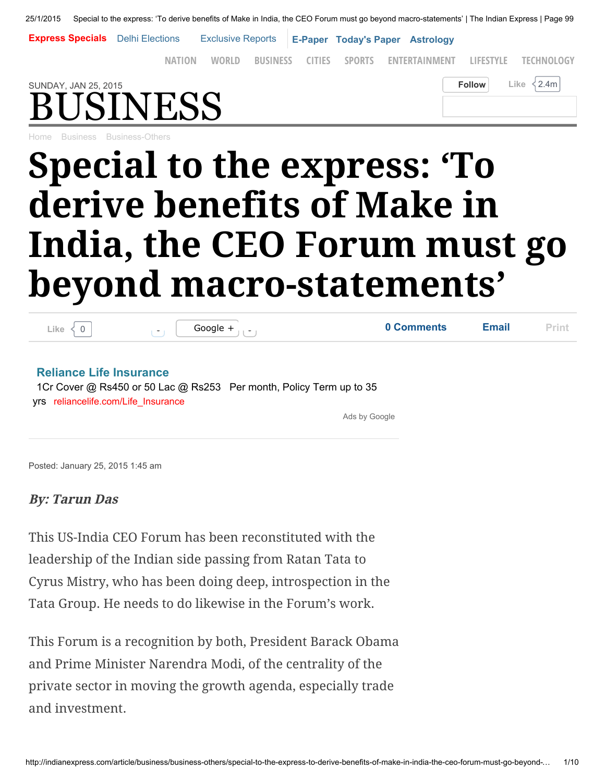25/1/2015 Special to the express: 'To derive benefits of Make in India, the CEO Forum must go beyond macro-statements' | The Indian Express | Page 99

Express Specials Delhi [Elections](http://indianexpress.com/topic/delhi-assembly-polls-2/) [Exclusive](http://indianexpress.com/topic/only-in-the-express/) Reports [E-Paper](http://epaper.indianexpress.com/) [Today's](http://indianexpress.com/todays-paper/) Paper [Astrology](http://indianexpress.com/astrotype/daily/)

SUNDAY, JAN 25, 2015  $\blacksquare$ [NATION](http://indianexpress.com/india/) [WORLD](http://indianexpress.com/world/) [BUSINESS](http://indianexpress.com/business/) [CITIES](http://indianexpress.com/cities/) [SPORTS](http://indianexpress.com/sports/) [ENTERTAINMENT](http://indianexpress.com/entertainment/) [LIFESTYLE](http://indianexpress.com/lifestyle/) [TECHNOLOGY](http://indianexpress.com/technology/)

## INESS

[Home](http://indianexpress.com/) [Business](http://indianexpress.com/section/business/) [Business-Others](http://indianexpress.com/section/business/business-others/)

## Special to the express: 'To derive benefits of Make in India, the CEO Forum must go beyond macro-statements'

| Like                                                                  | Google $+$<br>Τ                                                     | 0 Comments    | <b>Email</b> | Print |
|-----------------------------------------------------------------------|---------------------------------------------------------------------|---------------|--------------|-------|
| <b>Reliance Life Insurance</b><br>yrs reliancelife.com/Life Insurance | 1Cr Cover @ Rs450 or 50 Lac @ Rs253 Per month, Policy Term up to 35 |               |              |       |
|                                                                       |                                                                     | Ads by Google |              |       |
|                                                                       |                                                                     |               |              |       |

Posted: January 25, 2015 1:45 am

## By: Tarun Das

This US-India CEO Forum has been reconstituted with the leadership of the Indian side passing from Ratan Tata to Cyrus Mistry, who has been doing deep, introspection in the Tata Group. He needs to do likewise in the Forum's work.

This Forum is a recognition by both, President Barack Obama and Prime Minister Narendra Modi, of the centrality of the private sector in moving the growth agenda, especially trade and investment.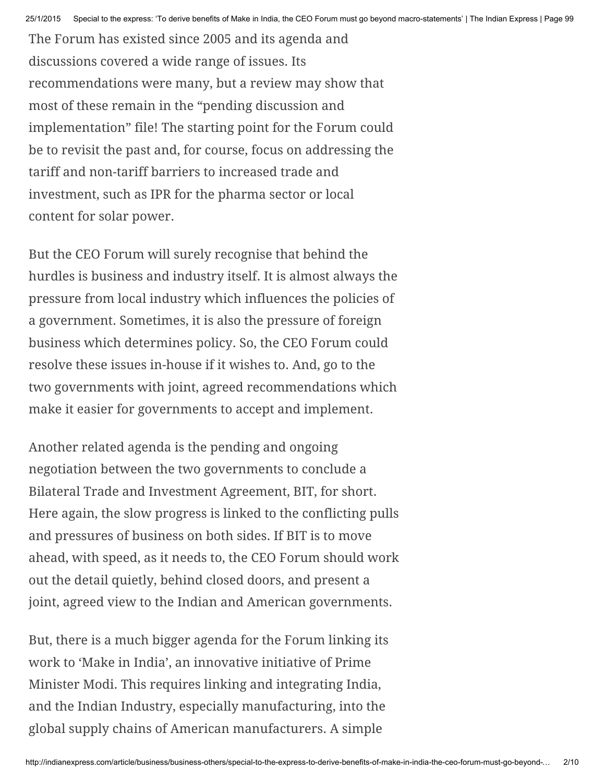The Forum has existed since 2005 and its agenda and discussions covered a wide range of issues. Its recommendations were many, but a review may show that most of these remain in the "pending discussion and implementation" file! The starting point for the Forum could be to revisit the past and, for course, focus on addressing the tariff and non-tariff barriers to increased trade and investment, such as IPR for the pharma sector or local content for solar power.

But the CEO Forum will surely recognise that behind the hurdles is business and industry itself. It is almost always the pressure from local industry which influences the policies of a government. Sometimes, it is also the pressure of foreign business which determines policy. So, the CEO Forum could resolve these issues in-house if it wishes to. And, go to the two governments with joint, agreed recommendations which make it easier for governments to accept and implement.

Another related agenda is the pending and ongoing negotiation between the two governments to conclude a Bilateral Trade and Investment Agreement, BIT, for short. Here again, the slow progress is linked to the conflicting pulls and pressures of business on both sides. If BIT is to move ahead, with speed, as it needs to, the CEO Forum should work out the detail quietly, behind closed doors, and present a joint, agreed view to the Indian and American governments.

But, there is a much bigger agenda for the Forum linking its work to 'Make in India', an innovative initiative of Prime Minister Modi. This requires linking and integrating India, and the Indian Industry, especially manufacturing, into the global supply chains of American manufacturers. A simple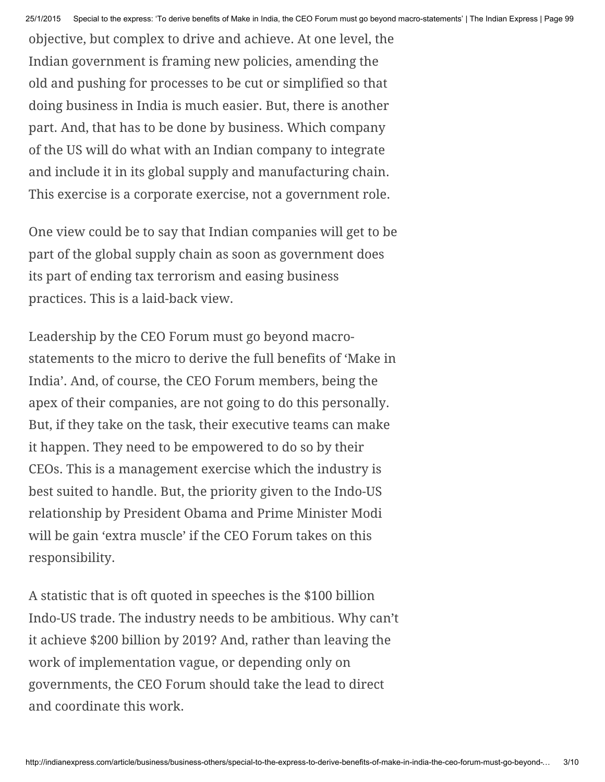objective, but complex to drive and achieve. At one level, the Indian government is framing new policies, amending the old and pushing for processes to be cut or simplified so that doing business in India is much easier. But, there is another part. And, that has to be done by business. Which company of the US will do what with an Indian company to integrate and include it in its global supply and manufacturing chain. This exercise is a corporate exercise, not a government role.

One view could be to say that Indian companies will get to be part of the global supply chain as soon as government does its part of ending tax terrorism and easing business practices. This is a laid-back view.

Leadership by the CEO Forum must go beyond macrostatements to the micro to derive the full benefits of 'Make in India'. And, of course, the CEO Forum members, being the apex of their companies, are not going to do this personally. But, if they take on the task, their executive teams can make it happen. They need to be empowered to do so by their CEOs. This is a management exercise which the industry is best suited to handle. But, the priority given to the Indo-US relationship by President Obama and Prime Minister Modi will be gain 'extra muscle' if the CEO Forum takes on this responsibility.

A statistic that is oft quoted in speeches is the \$100 billion Indo-US trade. The industry needs to be ambitious. Why can't it achieve \$200 billion by 2019? And, rather than leaving the work of implementation vague, or depending only on governments, the CEO Forum should take the lead to direct and coordinate this work.